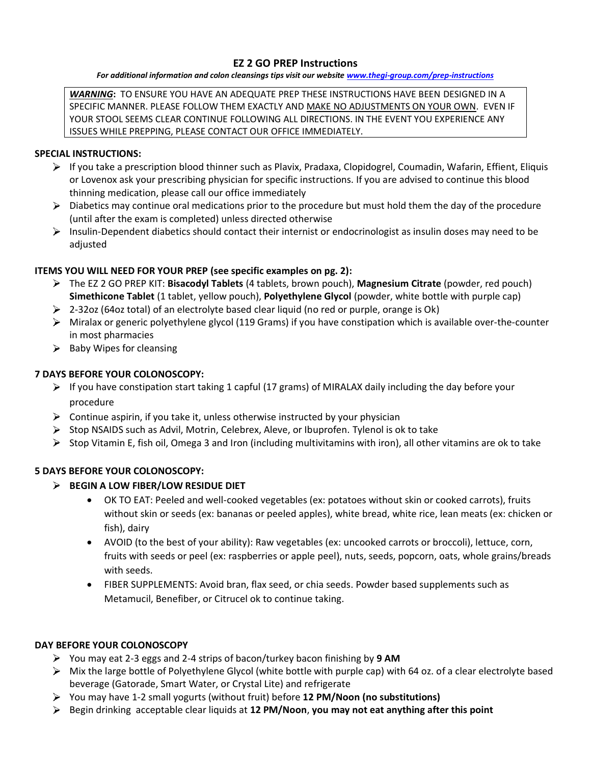# **EZ 2 GO PREP Instructions**

*For additional information and colon cleansings tips visit our website [www.thegi-group.com/prep-instructions](http://www.thegi-group.com/prep-instructions)*

*WARNING***:** TO ENSURE YOU HAVE AN ADEQUATE PREP THESE INSTRUCTIONS HAVE BEEN DESIGNED IN A SPECIFIC MANNER. PLEASE FOLLOW THEM EXACTLY AND MAKE NO ADJUSTMENTS ON YOUR OWN. EVEN IF YOUR STOOL SEEMS CLEAR CONTINUE FOLLOWING ALL DIRECTIONS. IN THE EVENT YOU EXPERIENCE ANY ISSUES WHILE PREPPING, PLEASE CONTACT OUR OFFICE IMMEDIATELY.

# **SPECIAL INSTRUCTIONS:**

- $\triangleright$  If you take a prescription blood thinner such as Plavix, Pradaxa, Clopidogrel, Coumadin, Wafarin, Effient, Eliquis or Lovenox ask your prescribing physician for specific instructions. If you are advised to continue this blood thinning medication, please call our office immediately
- $\triangleright$  Diabetics may continue oral medications prior to the procedure but must hold them the day of the procedure (until after the exam is completed) unless directed otherwise
- $\triangleright$  Insulin-Dependent diabetics should contact their internist or endocrinologist as insulin doses may need to be adjusted

# **ITEMS YOU WILL NEED FOR YOUR PREP (see specific examples on pg. 2):**

- The EZ 2 GO PREP KIT: **Bisacodyl Tablets** (4 tablets, brown pouch), **Magnesium Citrate** (powder, red pouch) **Simethicone Tablet** (1 tablet, yellow pouch), **Polyethylene Glycol** (powder, white bottle with purple cap)
- $\geq$  2-32oz (64oz total) of an electrolyte based clear liquid (no red or purple, orange is Ok)
- $\triangleright$  Miralax or generic polyethylene glycol (119 Grams) if you have constipation which is available over-the-counter in most pharmacies
- $\triangleright$  Baby Wipes for cleansing

# **7 DAYS BEFORE YOUR COLONOSCOPY:**

- $\triangleright$  If you have constipation start taking 1 capful (17 grams) of MIRALAX daily including the day before your procedure
- $\triangleright$  Continue aspirin, if you take it, unless otherwise instructed by your physician
- $\triangleright$  Stop NSAIDS such as Advil, Motrin, Celebrex, Aleve, or Ibuprofen. Tylenol is ok to take
- $\triangleright$  Stop Vitamin E, fish oil, Omega 3 and Iron (including multivitamins with iron), all other vitamins are ok to take

# **5 DAYS BEFORE YOUR COLONOSCOPY:**

# **BEGIN A LOW FIBER/LOW RESIDUE DIET**

- OK TO EAT: Peeled and well-cooked vegetables (ex: potatoes without skin or cooked carrots), fruits without skin or seeds (ex: bananas or peeled apples), white bread, white rice, lean meats (ex: chicken or fish), dairy
- AVOID (to the best of your ability): Raw vegetables (ex: uncooked carrots or broccoli), lettuce, corn, fruits with seeds or peel (ex: raspberries or apple peel), nuts, seeds, popcorn, oats, whole grains/breads with seeds.
- FIBER SUPPLEMENTS: Avoid bran, flax seed, or chia seeds. Powder based supplements such as Metamucil, Benefiber, or Citrucel ok to continue taking.

# **DAY BEFORE YOUR COLONOSCOPY**

- You may eat 2-3 eggs and 2-4 strips of bacon/turkey bacon finishing by **9 AM**
- $\triangleright$  Mix the large bottle of Polyethylene Glycol (white bottle with purple cap) with 64 oz. of a clear electrolyte based beverage (Gatorade, Smart Water, or Crystal Lite) and refrigerate
- You may have 1-2 small yogurts (without fruit) before **12 PM/Noon (no substitutions)**
- Begin drinking acceptable clear liquids at **12 PM/Noon**, **you may not eat anything after this point**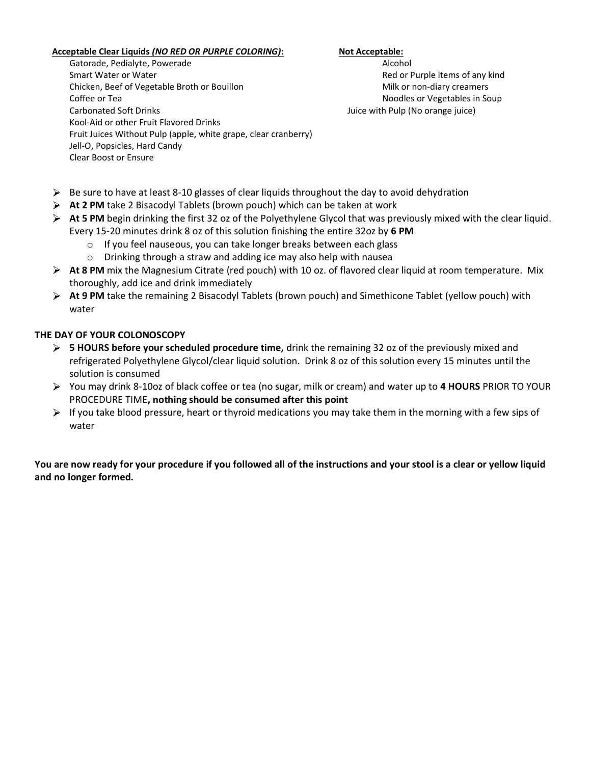## **Acceptable Clear Liquids** *(NO RED OR PURPLE COLORING)***: Not Acceptable:**

Gatorade, Pedialyte, Powerade Alcohol and South Alcohol Alcohol Alcohol Alcohol

Smart Water or Water **National Community Community** Community Red or Purple items of any kind Chicken, Beef of Vegetable Broth or Bouillon Milk or non-diary creamers Coffee or Tea Noordles or Vegetables in Soup Carbonated Soft Drinks Juice with Pulp (No orange juice) Kool-Aid or other Fruit Flavored Drinks Fruit Juices Without Pulp (apple, white grape, clear cranberry) Jell-O, Popsicles, Hard Candy Clear Boost or Ensure

- $\triangleright$  Be sure to have at least 8-10 glasses of clear liquids throughout the day to avoid dehydration
- **At 2 PM** take 2 Bisacodyl Tablets (brown pouch) which can be taken at work
- **At 5 PM** begin drinking the first 32 oz of the Polyethylene Glycol that was previously mixed with the clear liquid. Every 15-20 minutes drink 8 oz of this solution finishing the entire 32oz by **6 PM**
	- o If you feel nauseous, you can take longer breaks between each glass
	- o Drinking through a straw and adding ice may also help with nausea
- **At 8 PM** mix the Magnesium Citrate (red pouch) with 10 oz. of flavored clear liquid at room temperature. Mix thoroughly, add ice and drink immediately
- **At 9 PM** take the remaining 2 Bisacodyl Tablets (brown pouch) and Simethicone Tablet (yellow pouch) with water

# **THE DAY OF YOUR COLONOSCOPY**

- **5 HOURS before your scheduled procedure time,** drink the remaining 32 oz of the previously mixed and refrigerated Polyethylene Glycol/clear liquid solution. Drink 8 oz of this solution every 15 minutes until the solution is consumed
- You may drink 8-10oz of black coffee or tea (no sugar, milk or cream) and water up to **4 HOURS** PRIOR TO YOUR PROCEDURE TIME**, nothing should be consumed after this point**
- $\triangleright$  If you take blood pressure, heart or thyroid medications you may take them in the morning with a few sips of water

**You are now ready for your procedure if you followed all of the instructions and your stool is a clear or yellow liquid and no longer formed.**